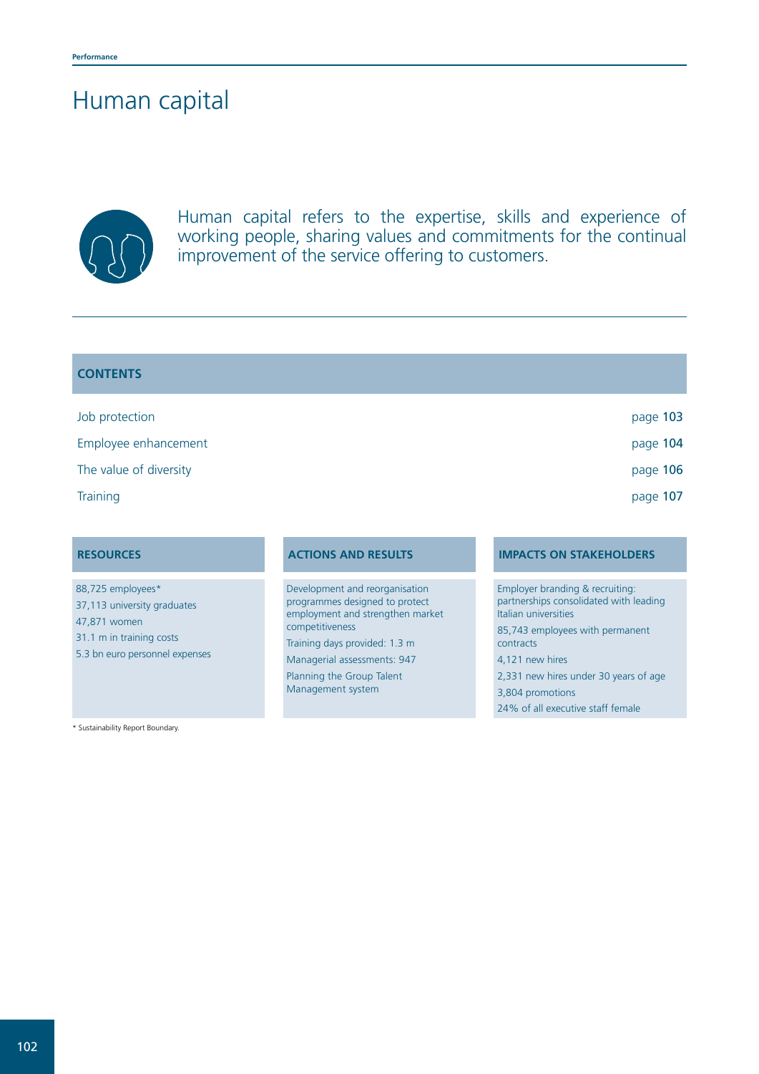# Human capital



Human capital refers to the expertise, skills and experience of working people, sharing values and commitments for the continual improvement of the service offering to customers.

| page 103 |
|----------|
| page 104 |
| page 106 |
| page 107 |
|          |

88,725 employees\* 37,113 university graduates 47,871 women 31.1 m in training costs 5.3 bn euro personnel expenses

\* Sustainability Report Boundary.

Development and reorganisation programmes designed to protect employment and strengthen market competitiveness

Training days provided: 1.3 m Managerial assessments: 947 Planning the Group Talent Management system

# **RESOURCES ACTIONS AND RESULTS IMPACTS ON STAKEHOLDERS**

Employer branding & recruiting: partnerships consolidated with leading Italian universities 85,743 employees with permanent contracts 4,121 new hires 2,331 new hires under 30 years of age 3,804 promotions 24% of all executive staff female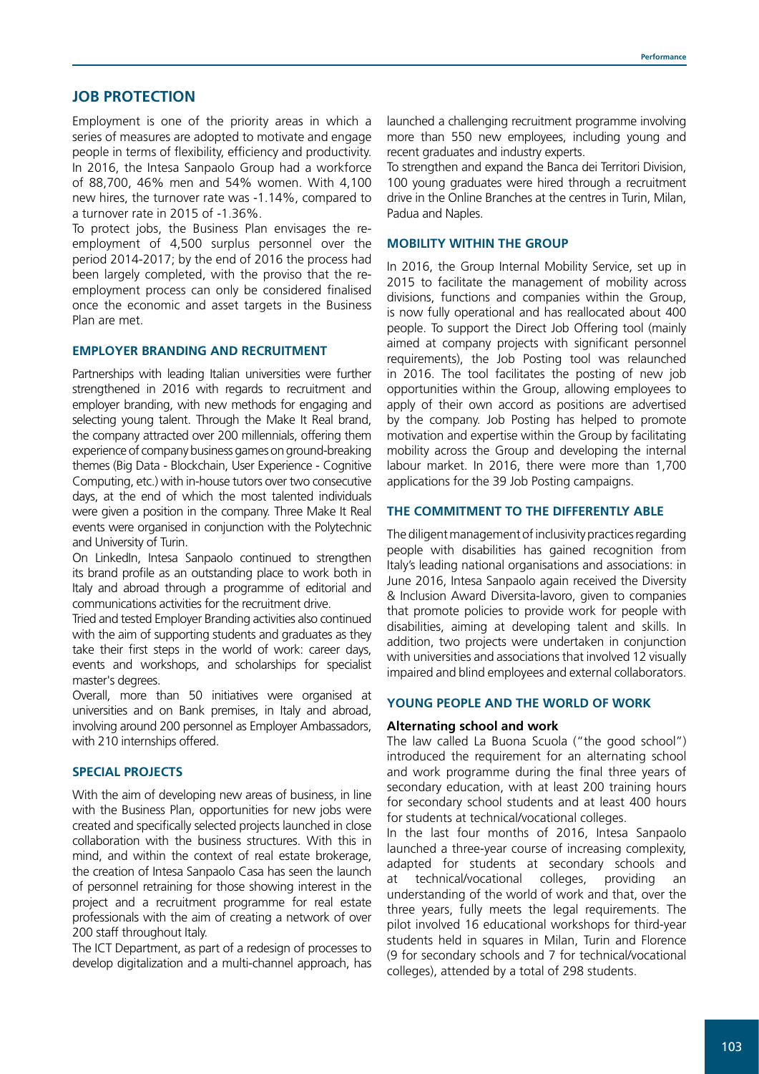# **JOB PROTECTION**

Employment is one of the priority areas in which a series of measures are adopted to motivate and engage people in terms of flexibility, efficiency and productivity. In 2016, the Intesa Sanpaolo Group had a workforce of 88,700, 46% men and 54% women. With 4,100 new hires, the turnover rate was -1.14%, compared to a turnover rate in 2015 of -1.36%.

To protect jobs, the Business Plan envisages the reemployment of 4,500 surplus personnel over the period 2014-2017; by the end of 2016 the process had been largely completed, with the proviso that the reemployment process can only be considered finalised once the economic and asset targets in the Business Plan are met.

#### **EMPLOYER BRANDING AND RECRUITMENT**

Partnerships with leading Italian universities were further strengthened in 2016 with regards to recruitment and employer branding, with new methods for engaging and selecting young talent. Through the Make It Real brand, the company attracted over 200 millennials, offering them experience of company business games on ground-breaking themes (Big Data - Blockchain, User Experience - Cognitive Computing, etc.) with in-house tutors over two consecutive days, at the end of which the most talented individuals were given a position in the company. Three Make It Real events were organised in conjunction with the Polytechnic and University of Turin.

On LinkedIn, Intesa Sanpaolo continued to strengthen its brand profile as an outstanding place to work both in Italy and abroad through a programme of editorial and communications activities for the recruitment drive.

Tried and tested Employer Branding activities also continued with the aim of supporting students and graduates as they take their first steps in the world of work: career days, events and workshops, and scholarships for specialist master's degrees.

Overall, more than 50 initiatives were organised at universities and on Bank premises, in Italy and abroad, involving around 200 personnel as Employer Ambassadors, with 210 internships offered.

#### **SPECIAL PROJECTS**

With the aim of developing new areas of business, in line with the Business Plan, opportunities for new jobs were created and specifically selected projects launched in close collaboration with the business structures. With this in mind, and within the context of real estate brokerage, the creation of Intesa Sanpaolo Casa has seen the launch of personnel retraining for those showing interest in the project and a recruitment programme for real estate professionals with the aim of creating a network of over 200 staff throughout Italy.

The ICT Department, as part of a redesign of processes to develop digitalization and a multi-channel approach, has launched a challenging recruitment programme involving more than 550 new employees, including young and recent graduates and industry experts.

To strengthen and expand the Banca dei Territori Division, 100 young graduates were hired through a recruitment drive in the Online Branches at the centres in Turin, Milan, Padua and Naples.

# **MOBILITY WITHIN THE GROUP**

In 2016, the Group Internal Mobility Service, set up in 2015 to facilitate the management of mobility across divisions, functions and companies within the Group, is now fully operational and has reallocated about 400 people. To support the Direct Job Offering tool (mainly aimed at company projects with significant personnel requirements), the Job Posting tool was relaunched in 2016. The tool facilitates the posting of new job opportunities within the Group, allowing employees to apply of their own accord as positions are advertised by the company. Job Posting has helped to promote motivation and expertise within the Group by facilitating mobility across the Group and developing the internal labour market. In 2016, there were more than 1,700 applications for the 39 Job Posting campaigns.

#### **THE COMMITMENT TO THE DIFFERENTLY ABLE**

The diligent management of inclusivity practices regarding people with disabilities has gained recognition from Italy's leading national organisations and associations: in June 2016, Intesa Sanpaolo again received the Diversity & Inclusion Award Diversita-lavoro, given to companies that promote policies to provide work for people with disabilities, aiming at developing talent and skills. In addition, two projects were undertaken in conjunction with universities and associations that involved 12 visually impaired and blind employees and external collaborators.

### **YOUNG PEOPLE AND THE WORLD OF WORK**

#### **Alternating school and work**

The law called La Buona Scuola ("the good school") introduced the requirement for an alternating school and work programme during the final three years of secondary education, with at least 200 training hours for secondary school students and at least 400 hours for students at technical/vocational colleges.

In the last four months of 2016, Intesa Sanpaolo launched a three-year course of increasing complexity, adapted for students at secondary schools and at technical/vocational colleges, providing an understanding of the world of work and that, over the three years, fully meets the legal requirements. The pilot involved 16 educational workshops for third-year students held in squares in Milan, Turin and Florence (9 for secondary schools and 7 for technical/vocational colleges), attended by a total of 298 students.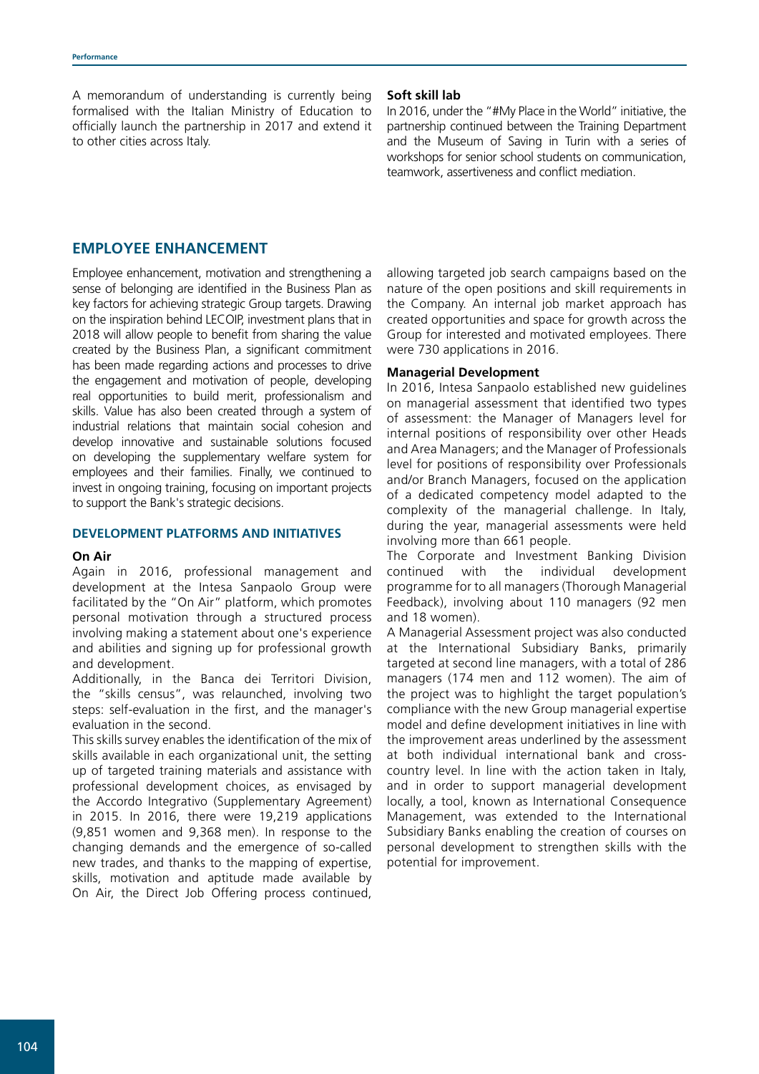A memorandum of understanding is currently being formalised with the Italian Ministry of Education to officially launch the partnership in 2017 and extend it to other cities across Italy.

#### **Soft skill lab**

In 2016, under the "#My Place in the World" initiative, the partnership continued between the Training Department and the Museum of Saving in Turin with a series of workshops for senior school students on communication, teamwork, assertiveness and conflict mediation.

# **EMPLOYEE ENHANCEMENT**

Employee enhancement, motivation and strengthening a sense of belonging are identified in the Business Plan as key factors for achieving strategic Group targets. Drawing on the inspiration behind LECOIP, investment plans that in 2018 will allow people to benefit from sharing the value created by the Business Plan, a significant commitment has been made regarding actions and processes to drive the engagement and motivation of people, developing real opportunities to build merit, professionalism and skills. Value has also been created through a system of industrial relations that maintain social cohesion and develop innovative and sustainable solutions focused on developing the supplementary welfare system for employees and their families. Finally, we continued to invest in ongoing training, focusing on important projects to support the Bank's strategic decisions.

#### **DEVELOPMENT PLATFORMS AND INITIATIVES**

#### **On Air**

Again in 2016, professional management and development at the Intesa Sanpaolo Group were facilitated by the "On Air" platform, which promotes personal motivation through a structured process involving making a statement about one's experience and abilities and signing up for professional growth and development.

Additionally, in the Banca dei Territori Division, the "skills census", was relaunched, involving two steps: self-evaluation in the first, and the manager's evaluation in the second.

This skills survey enables the identification of the mix of skills available in each organizational unit, the setting up of targeted training materials and assistance with professional development choices, as envisaged by the Accordo Integrativo (Supplementary Agreement) in 2015. In 2016, there were 19,219 applications (9,851 women and 9,368 men). In response to the changing demands and the emergence of so-called new trades, and thanks to the mapping of expertise, skills, motivation and aptitude made available by On Air, the Direct Job Offering process continued,

allowing targeted job search campaigns based on the nature of the open positions and skill requirements in the Company. An internal job market approach has created opportunities and space for growth across the Group for interested and motivated employees. There were 730 applications in 2016.

#### **Managerial Development**

In 2016, Intesa Sanpaolo established new guidelines on managerial assessment that identified two types of assessment: the Manager of Managers level for internal positions of responsibility over other Heads and Area Managers; and the Manager of Professionals level for positions of responsibility over Professionals and/or Branch Managers, focused on the application of a dedicated competency model adapted to the complexity of the managerial challenge. In Italy, during the year, managerial assessments were held involving more than 661 people.

The Corporate and Investment Banking Division continued with the individual development programme for to all managers (Thorough Managerial Feedback), involving about 110 managers (92 men and 18 women).

A Managerial Assessment project was also conducted at the International Subsidiary Banks, primarily targeted at second line managers, with a total of 286 managers (174 men and 112 women). The aim of the project was to highlight the target population's compliance with the new Group managerial expertise model and define development initiatives in line with the improvement areas underlined by the assessment at both individual international bank and crosscountry level. In line with the action taken in Italy, and in order to support managerial development locally, a tool, known as International Consequence Management, was extended to the International Subsidiary Banks enabling the creation of courses on personal development to strengthen skills with the potential for improvement.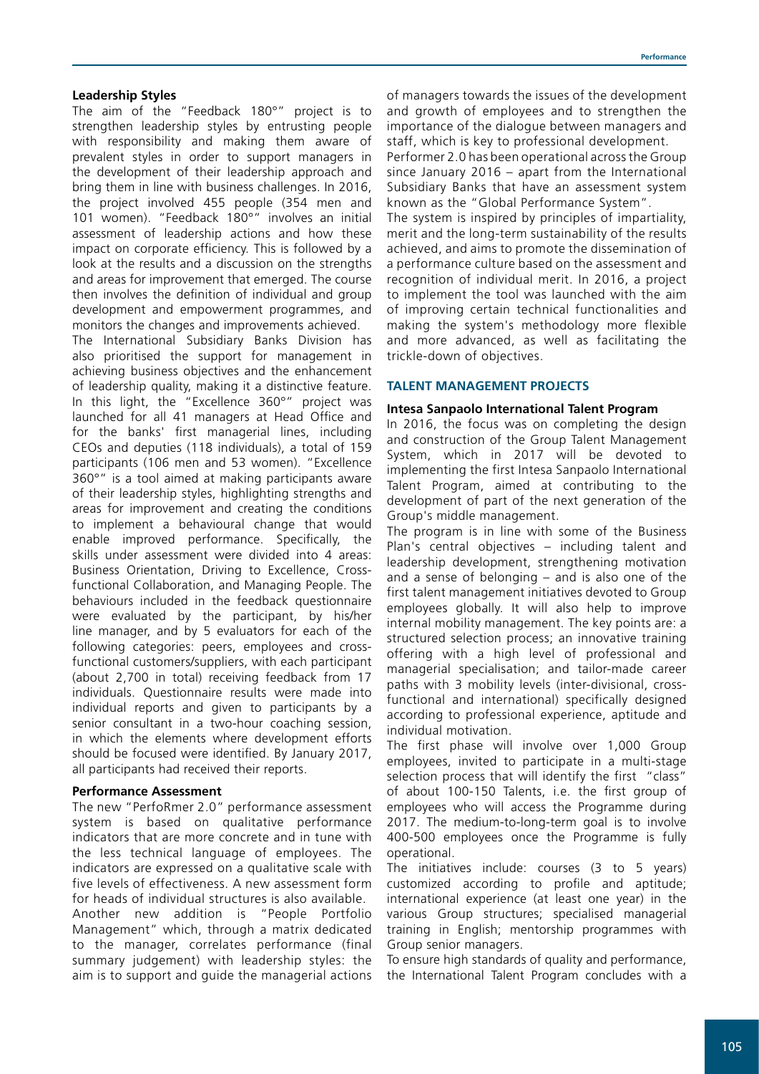### **Leadership Styles**

The aim of the "Feedback 180°" project is to strengthen leadership styles by entrusting people with responsibility and making them aware of prevalent styles in order to support managers in the development of their leadership approach and bring them in line with business challenges. In 2016, the project involved 455 people (354 men and 101 women). "Feedback 180°" involves an initial assessment of leadership actions and how these impact on corporate efficiency. This is followed by a look at the results and a discussion on the strengths and areas for improvement that emerged. The course then involves the definition of individual and group development and empowerment programmes, and monitors the changes and improvements achieved.

The International Subsidiary Banks Division has also prioritised the support for management in achieving business objectives and the enhancement of leadership quality, making it a distinctive feature. In this light, the "Excellence 360°" project was launched for all 41 managers at Head Office and for the banks' first managerial lines, including CEOs and deputies (118 individuals), a total of 159 participants (106 men and 53 women). "Excellence 360°" is a tool aimed at making participants aware of their leadership styles, highlighting strengths and areas for improvement and creating the conditions to implement a behavioural change that would enable improved performance. Specifically, the skills under assessment were divided into 4 areas: Business Orientation, Driving to Excellence, Crossfunctional Collaboration, and Managing People. The behaviours included in the feedback questionnaire were evaluated by the participant, by his/her line manager, and by 5 evaluators for each of the following categories: peers, employees and crossfunctional customers/suppliers, with each participant (about 2,700 in total) receiving feedback from 17 individuals. Questionnaire results were made into individual reports and given to participants by a senior consultant in a two-hour coaching session, in which the elements where development efforts should be focused were identified. By January 2017, all participants had received their reports.

#### **Performance Assessment**

The new "PerfoRmer 2.0" performance assessment system is based on qualitative performance indicators that are more concrete and in tune with the less technical language of employees. The indicators are expressed on a qualitative scale with five levels of effectiveness. A new assessment form for heads of individual structures is also available. Another new addition is "People Portfolio Management" which, through a matrix dedicated to the manager, correlates performance (final summary judgement) with leadership styles: the aim is to support and guide the managerial actions

of managers towards the issues of the development and growth of employees and to strengthen the importance of the dialogue between managers and staff, which is key to professional development. Performer 2.0 has been operational across the Group since January 2016 – apart from the International Subsidiary Banks that have an assessment system known as the "Global Performance System". The system is inspired by principles of impartiality, merit and the long-term sustainability of the results achieved, and aims to promote the dissemination of a performance culture based on the assessment and recognition of individual merit. In 2016, a project to implement the tool was launched with the aim of improving certain technical functionalities and making the system's methodology more flexible and more advanced, as well as facilitating the trickle-down of objectives.

### **TALENT MANAGEMENT PROJECTS**

#### **Intesa Sanpaolo International Talent Program**

In 2016, the focus was on completing the design and construction of the Group Talent Management System, which in 2017 will be devoted to implementing the first Intesa Sanpaolo International Talent Program, aimed at contributing to the development of part of the next generation of the Group's middle management.

The program is in line with some of the Business Plan's central objectives – including talent and leadership development, strengthening motivation and a sense of belonging – and is also one of the first talent management initiatives devoted to Group employees globally. It will also help to improve internal mobility management. The key points are: a structured selection process; an innovative training offering with a high level of professional and managerial specialisation; and tailor-made career paths with 3 mobility levels (inter-divisional, crossfunctional and international) specifically designed according to professional experience, aptitude and individual motivation.

The first phase will involve over 1,000 Group employees, invited to participate in a multi-stage selection process that will identify the first "class" of about 100-150 Talents, i.e. the first group of employees who will access the Programme during 2017. The medium-to-long-term goal is to involve 400-500 employees once the Programme is fully operational.

The initiatives include: courses (3 to 5 years) customized according to profile and aptitude; international experience (at least one year) in the various Group structures; specialised managerial training in English; mentorship programmes with Group senior managers.

To ensure high standards of quality and performance, the International Talent Program concludes with a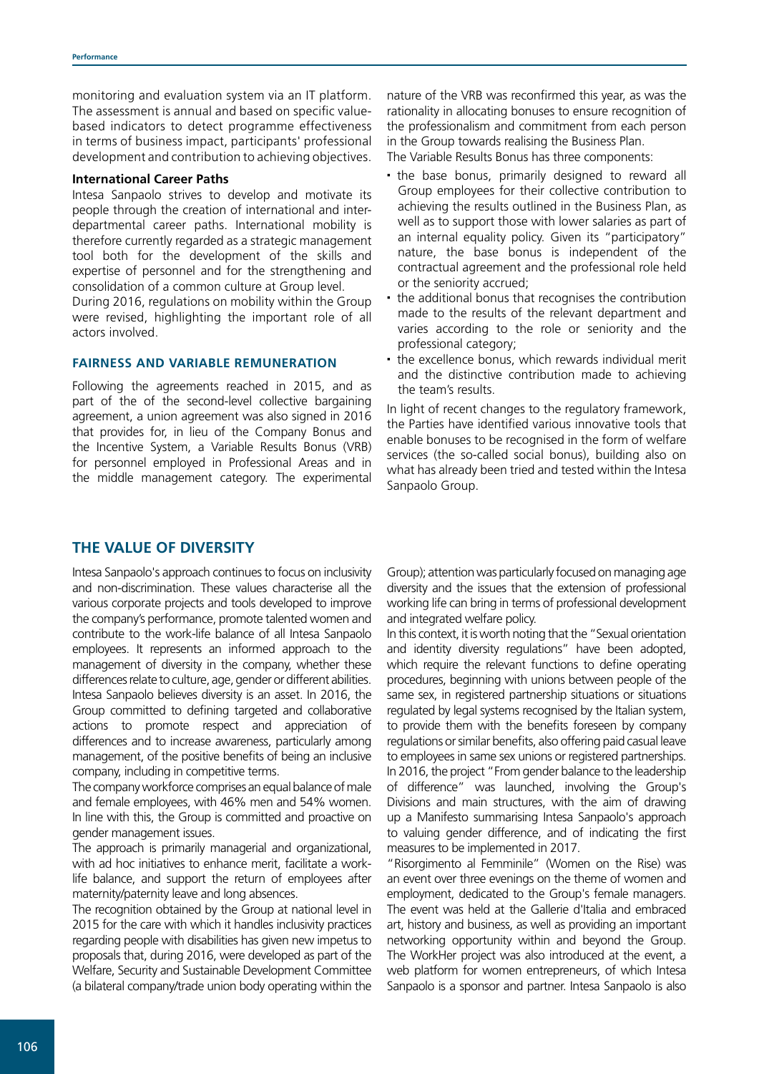monitoring and evaluation system via an IT platform. The assessment is annual and based on specific valuebased indicators to detect programme effectiveness in terms of business impact, participants' professional development and contribution to achieving objectives.

#### **International Career Paths**

Intesa Sanpaolo strives to develop and motivate its people through the creation of international and interdepartmental career paths. International mobility is therefore currently regarded as a strategic management tool both for the development of the skills and expertise of personnel and for the strengthening and consolidation of a common culture at Group level.

During 2016, regulations on mobility within the Group were revised, highlighting the important role of all actors involved.

# **FAIRNESS AND VARIABLE REMUNERATION**

Following the agreements reached in 2015, and as part of the of the second-level collective bargaining agreement, a union agreement was also signed in 2016 that provides for, in lieu of the Company Bonus and the Incentive System, a Variable Results Bonus (VRB) for personnel employed in Professional Areas and in the middle management category. The experimental

nature of the VRB was reconfirmed this year, as was the rationality in allocating bonuses to ensure recognition of the professionalism and commitment from each person in the Group towards realising the Business Plan. The Variable Results Bonus has three components:

 the base bonus, primarily designed to reward all Group employees for their collective contribution to achieving the results outlined in the Business Plan, as well as to support those with lower salaries as part of an internal equality policy. Given its "participatory" nature, the base bonus is independent of the contractual agreement and the professional role held or the seniority accrued;

• the additional bonus that recognises the contribution made to the results of the relevant department and varies according to the role or seniority and the professional category;

the excellence bonus, which rewards individual merit and the distinctive contribution made to achieving the team's results.

In light of recent changes to the regulatory framework, the Parties have identified various innovative tools that enable bonuses to be recognised in the form of welfare services (the so-called social bonus), building also on what has already been tried and tested within the Intesa Sanpaolo Group.

# **THE VALUE OF DIVERSITY**

Intesa Sanpaolo's approach continues to focus on inclusivity and non-discrimination. These values characterise all the various corporate projects and tools developed to improve the company's performance, promote talented women and contribute to the work-life balance of all Intesa Sanpaolo employees. It represents an informed approach to the management of diversity in the company, whether these differences relate to culture, age, gender or different abilities. Intesa Sanpaolo believes diversity is an asset. In 2016, the Group committed to defining targeted and collaborative actions to promote respect and appreciation of differences and to increase awareness, particularly among management, of the positive benefits of being an inclusive company, including in competitive terms.

The company workforce comprises an equal balance of male and female employees, with 46% men and 54% women. In line with this, the Group is committed and proactive on gender management issues.

The approach is primarily managerial and organizational, with ad hoc initiatives to enhance merit, facilitate a worklife balance, and support the return of employees after maternity/paternity leave and long absences.

The recognition obtained by the Group at national level in 2015 for the care with which it handles inclusivity practices regarding people with disabilities has given new impetus to proposals that, during 2016, were developed as part of the Welfare, Security and Sustainable Development Committee (a bilateral company/trade union body operating within the Group); attention was particularly focused on managing age diversity and the issues that the extension of professional working life can bring in terms of professional development and integrated welfare policy.

In this context, it is worth noting that the "Sexual orientation and identity diversity regulations" have been adopted, which require the relevant functions to define operating procedures, beginning with unions between people of the same sex, in registered partnership situations or situations regulated by legal systems recognised by the Italian system, to provide them with the benefits foreseen by company regulations or similar benefits, also offering paid casual leave to employees in same sex unions or registered partnerships. In 2016, the project "From gender balance to the leadership of difference" was launched, involving the Group's Divisions and main structures, with the aim of drawing up a Manifesto summarising Intesa Sanpaolo's approach to valuing gender difference, and of indicating the first measures to be implemented in 2017.

"Risorgimento al Femminile" (Women on the Rise) was an event over three evenings on the theme of women and employment, dedicated to the Group's female managers. The event was held at the Gallerie d'Italia and embraced art, history and business, as well as providing an important networking opportunity within and beyond the Group. The WorkHer project was also introduced at the event, a web platform for women entrepreneurs, of which Intesa Sanpaolo is a sponsor and partner. Intesa Sanpaolo is also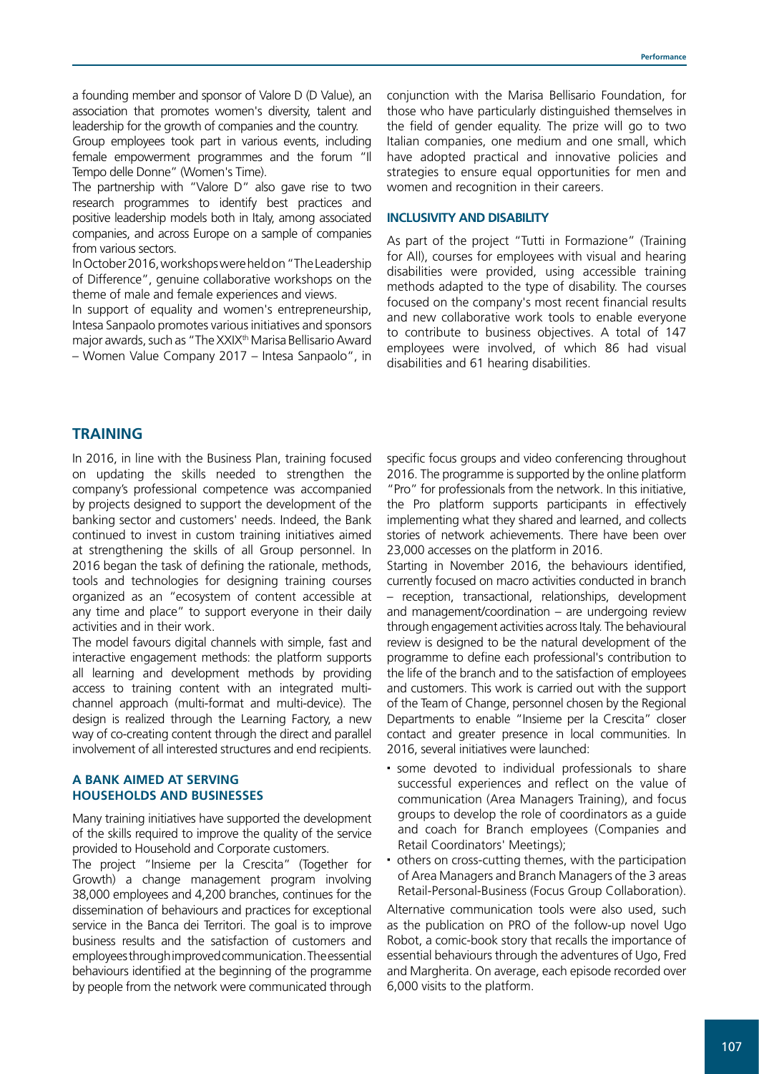a founding member and sponsor of Valore D (D Value), an association that promotes women's diversity, talent and leadership for the growth of companies and the country.

Group employees took part in various events, including female empowerment programmes and the forum "Il Tempo delle Donne" (Women's Time).

The partnership with "Valore D" also gave rise to two research programmes to identify best practices and positive leadership models both in Italy, among associated companies, and across Europe on a sample of companies from various sectors.

In October 2016, workshops were held on "The Leadership of Difference", genuine collaborative workshops on the theme of male and female experiences and views.

In support of equality and women's entrepreneurship, Intesa Sanpaolo promotes various initiatives and sponsors major awards, such as "The XXIX<sup>th</sup> Marisa Bellisario Award – Women Value Company 2017 – Intesa Sanpaolo", in conjunction with the Marisa Bellisario Foundation, for those who have particularly distinguished themselves in the field of gender equality. The prize will go to two Italian companies, one medium and one small, which have adopted practical and innovative policies and strategies to ensure equal opportunities for men and women and recognition in their careers.

#### **INCLUSIVITY AND DISABILITY**

As part of the project "Tutti in Formazione" (Training for All), courses for employees with visual and hearing disabilities were provided, using accessible training methods adapted to the type of disability. The courses focused on the company's most recent financial results and new collaborative work tools to enable everyone to contribute to business objectives. A total of 147 employees were involved, of which 86 had visual disabilities and 61 hearing disabilities.

# **TRAINING**

In 2016, in line with the Business Plan, training focused on updating the skills needed to strengthen the company's professional competence was accompanied by projects designed to support the development of the banking sector and customers' needs. Indeed, the Bank continued to invest in custom training initiatives aimed at strengthening the skills of all Group personnel. In 2016 began the task of defining the rationale, methods, tools and technologies for designing training courses organized as an "ecosystem of content accessible at any time and place" to support everyone in their daily activities and in their work.

The model favours digital channels with simple, fast and interactive engagement methods: the platform supports all learning and development methods by providing access to training content with an integrated multichannel approach (multi-format and multi-device). The design is realized through the Learning Factory, a new way of co-creating content through the direct and parallel involvement of all interested structures and end recipients.

# **A BANK AIMED AT SERVING HOUSEHOLDS AND BUSINESSES**

Many training initiatives have supported the development of the skills required to improve the quality of the service provided to Household and Corporate customers.

The project "Insieme per la Crescita" (Together for Growth) a change management program involving 38,000 employees and 4,200 branches, continues for the dissemination of behaviours and practices for exceptional service in the Banca dei Territori. The goal is to improve business results and the satisfaction of customers and employees through improved communication. The essential behaviours identified at the beginning of the programme by people from the network were communicated through

specific focus groups and video conferencing throughout 2016. The programme is supported by the online platform "Pro" for professionals from the network. In this initiative, the Pro platform supports participants in effectively implementing what they shared and learned, and collects stories of network achievements. There have been over 23,000 accesses on the platform in 2016.

Starting in November 2016, the behaviours identified, currently focused on macro activities conducted in branch – reception, transactional, relationships, development and management/coordination – are undergoing review through engagement activities across Italy. The behavioural review is designed to be the natural development of the programme to define each professional's contribution to the life of the branch and to the satisfaction of employees and customers. This work is carried out with the support of the Team of Change, personnel chosen by the Regional Departments to enable "Insieme per la Crescita" closer contact and greater presence in local communities. In 2016, several initiatives were launched:

- some devoted to individual professionals to share successful experiences and reflect on the value of communication (Area Managers Training), and focus groups to develop the role of coordinators as a guide and coach for Branch employees (Companies and Retail Coordinators' Meetings);
- others on cross-cutting themes, with the participation of Area Managers and Branch Managers of the 3 areas Retail-Personal-Business (Focus Group Collaboration).

Alternative communication tools were also used, such as the publication on PRO of the follow-up novel Ugo Robot, a comic-book story that recalls the importance of essential behaviours through the adventures of Ugo, Fred and Margherita. On average, each episode recorded over 6,000 visits to the platform.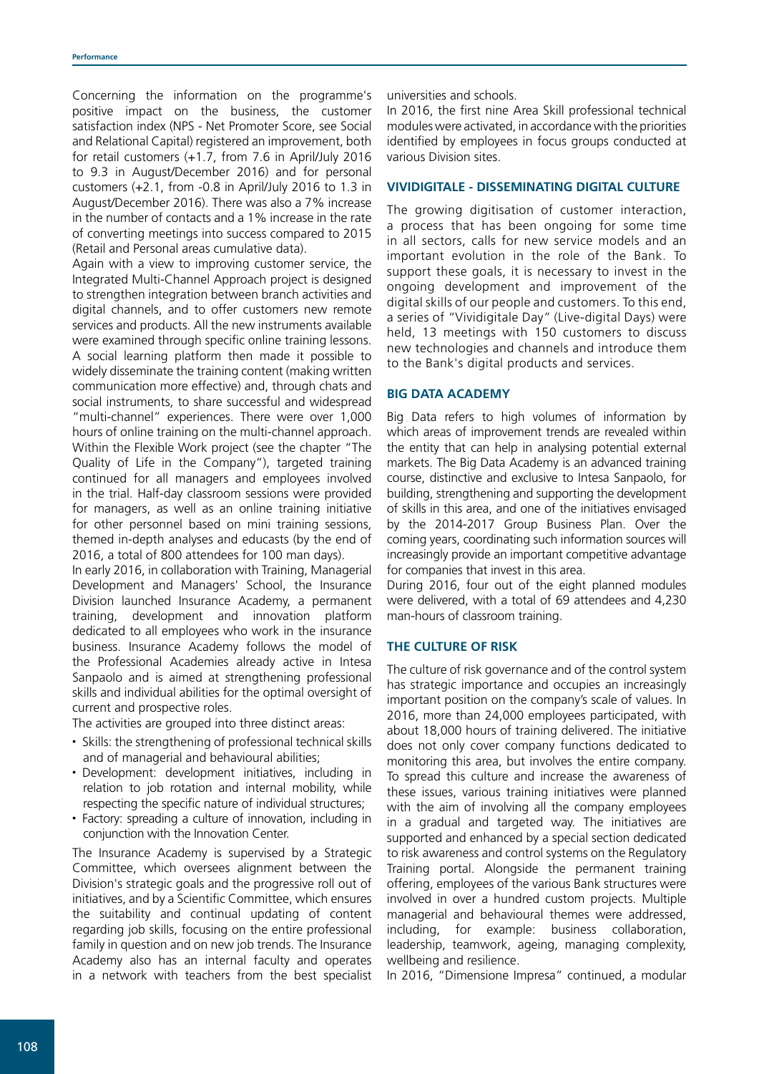Concerning the information on the programme's positive impact on the business, the customer satisfaction index (NPS - Net Promoter Score, see Social and Relational Capital) registered an improvement, both for retail customers (+1.7, from 7.6 in April/July 2016 to 9.3 in August/December 2016) and for personal customers (+2.1, from -0.8 in April/July 2016 to 1.3 in August/December 2016). There was also a 7% increase in the number of contacts and a 1% increase in the rate of converting meetings into success compared to 2015 (Retail and Personal areas cumulative data).

Again with a view to improving customer service, the Integrated Multi-Channel Approach project is designed to strengthen integration between branch activities and digital channels, and to offer customers new remote services and products. All the new instruments available were examined through specific online training lessons. A social learning platform then made it possible to widely disseminate the training content (making written communication more effective) and, through chats and social instruments, to share successful and widespread "multi-channel" experiences. There were over 1,000 hours of online training on the multi-channel approach. Within the Flexible Work project (see the chapter "The Quality of Life in the Company"), targeted training continued for all managers and employees involved in the trial. Half-day classroom sessions were provided for managers, as well as an online training initiative for other personnel based on mini training sessions, themed in-depth analyses and educasts (by the end of 2016, a total of 800 attendees for 100 man days).

In early 2016, in collaboration with Training, Managerial Development and Managers' School, the Insurance Division launched Insurance Academy, a permanent training, development and innovation platform dedicated to all employees who work in the insurance business. Insurance Academy follows the model of the Professional Academies already active in Intesa Sanpaolo and is aimed at strengthening professional skills and individual abilities for the optimal oversight of current and prospective roles.

The activities are grouped into three distinct areas:

- Skills: the strengthening of professional technical skills and of managerial and behavioural abilities;
- Development: development initiatives, including in relation to job rotation and internal mobility, while respecting the specific nature of individual structures;
- Factory: spreading a culture of innovation, including in conjunction with the Innovation Center.

The Insurance Academy is supervised by a Strategic Committee, which oversees alignment between the Division's strategic goals and the progressive roll out of initiatives, and by a Scientific Committee, which ensures the suitability and continual updating of content regarding job skills, focusing on the entire professional family in question and on new job trends. The Insurance Academy also has an internal faculty and operates in a network with teachers from the best specialist

universities and schools.

In 2016, the first nine Area Skill professional technical modules were activated, in accordance with the priorities identified by employees in focus groups conducted at various Division sites.

# **VIVIDIGITALE - DISSEMINATING DIGITAL CULTURE**

The growing digitisation of customer interaction, a process that has been ongoing for some time in all sectors, calls for new service models and an important evolution in the role of the Bank. To support these goals, it is necessary to invest in the ongoing development and improvement of the digital skills of our people and customers. To this end, a series of "Vividigitale Day" (Live-digital Days) were held, 13 meetings with 150 customers to discuss new technologies and channels and introduce them to the Bank's digital products and services.

# **BIG DATA ACADEMY**

Big Data refers to high volumes of information by which areas of improvement trends are revealed within the entity that can help in analysing potential external markets. The Big Data Academy is an advanced training course, distinctive and exclusive to Intesa Sanpaolo, for building, strengthening and supporting the development of skills in this area, and one of the initiatives envisaged by the 2014-2017 Group Business Plan. Over the coming years, coordinating such information sources will increasingly provide an important competitive advantage for companies that invest in this area.

During 2016, four out of the eight planned modules were delivered, with a total of 69 attendees and 4,230 man-hours of classroom training.

# **THE CULTURE OF RISK**

The culture of risk governance and of the control system has strategic importance and occupies an increasingly important position on the company's scale of values. In 2016, more than 24,000 employees participated, with about 18,000 hours of training delivered. The initiative does not only cover company functions dedicated to monitoring this area, but involves the entire company. To spread this culture and increase the awareness of these issues, various training initiatives were planned with the aim of involving all the company employees in a gradual and targeted way. The initiatives are supported and enhanced by a special section dedicated to risk awareness and control systems on the Regulatory Training portal. Alongside the permanent training offering, employees of the various Bank structures were involved in over a hundred custom projects. Multiple managerial and behavioural themes were addressed, including, for example: business collaboration, leadership, teamwork, ageing, managing complexity, wellbeing and resilience.

In 2016, "Dimensione Impresa" continued, a modular